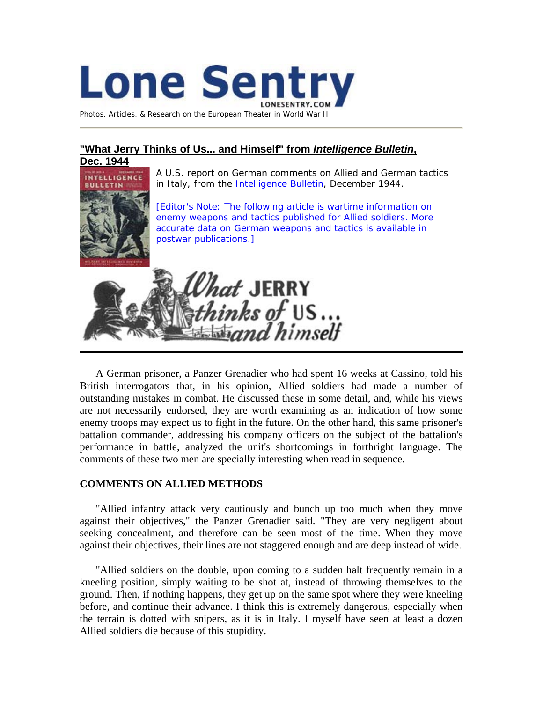

[Photos, Articles, & Research on the European Theater in World War II](http://www.lonesentry.com/)

## **"What Jerry Thinks of Us... and Himself" from** *Intelligence Bulletin***,**



 A U.S. report on German comments on Allied and German tactics in Italy, from the *[Intelligence Bulletin](http://www.lonesentry.com/intelbulletin/index.html)*, December 1944.

[Editor's Note: The following article is wartime information on enemy weapons and tactics published for Allied soldiers. More accurate data on German weapons and tactics is available in postwar publications.]



A German prisoner, a Panzer Grenadier who had spent 16 weeks at Cassino, told his British interrogators that, in his opinion, Allied soldiers had made a number of outstanding mistakes in combat. He discussed these in some detail, and, while his views are not necessarily endorsed, they are worth examining as an indication of how some enemy troops may expect us to fight in the future. On the other hand, this same prisoner's battalion commander, addressing his company officers on the subject of the battalion's performance in battle, analyzed the unit's shortcomings in forthright language. The comments of these two men are specially interesting when read in sequence.

## **COMMENTS ON ALLIED METHODS**

"Allied infantry attack very cautiously and bunch up too much when they move against their objectives," the Panzer Grenadier said. "They are very negligent about seeking concealment, and therefore can be seen most of the time. When they move against their objectives, their lines are not staggered enough and are deep instead of wide.

"Allied soldiers on the double, upon coming to a sudden halt frequently remain in a kneeling position, simply waiting to be shot at, instead of throwing themselves to the ground. Then, if nothing happens, they get up on the same spot where they were kneeling before, and continue their advance. I think this is extremely dangerous, especially when the terrain is dotted with snipers, as it is in Italy. I myself have seen at least a dozen Allied soldiers die because of this stupidity.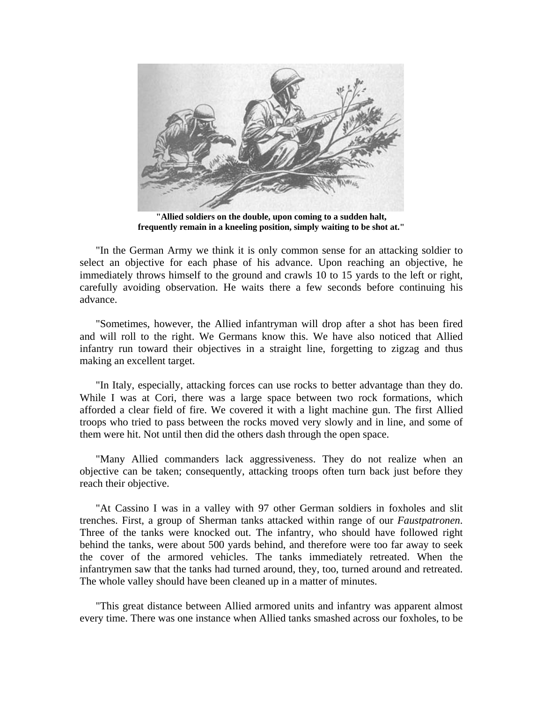

**"Allied soldiers on the double, upon coming to a sudden halt, frequently remain in a kneeling position, simply waiting to be shot at."**

"In the German Army we think it is only common sense for an attacking soldier to select an objective for each phase of his advance. Upon reaching an objective, he immediately throws himself to the ground and crawls 10 to 15 yards to the left or right, carefully avoiding observation. He waits there a few seconds before continuing his advance.

"Sometimes, however, the Allied infantryman will drop after a shot has been fired and will roll to the right. We Germans know this. We have also noticed that Allied infantry run toward their objectives in a straight line, forgetting to zigzag and thus making an excellent target.

"In Italy, especially, attacking forces can use rocks to better advantage than they do. While I was at Cori, there was a large space between two rock formations, which afforded a clear field of fire. We covered it with a light machine gun. The first Allied troops who tried to pass between the rocks moved very slowly and in line, and some of them were hit. Not until then did the others dash through the open space.

"Many Allied commanders lack aggressiveness. They do not realize when an objective can be taken; consequently, attacking troops often turn back just before they reach their objective.

"At Cassino I was in a valley with 97 other German soldiers in foxholes and slit trenches. First, a group of Sherman tanks attacked within range of our *Faustpatronen*. Three of the tanks were knocked out. The infantry, who should have followed right behind the tanks, were about 500 yards behind, and therefore were too far away to seek the cover of the armored vehicles. The tanks immediately retreated. When the infantrymen saw that the tanks had turned around, they, too, turned around and retreated. The whole valley should have been cleaned up in a matter of minutes.

"This great distance between Allied armored units and infantry was apparent almost every time. There was one instance when Allied tanks smashed across our foxholes, to be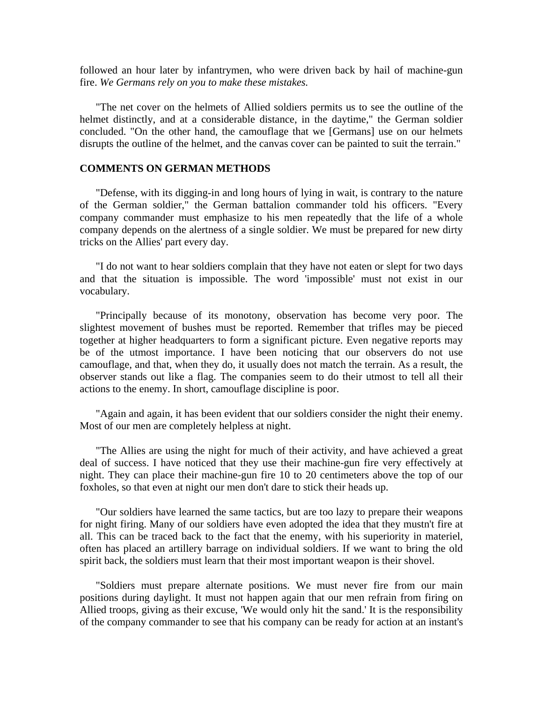followed an hour later by infantrymen, who were driven back by hail of machine-gun fire. *We Germans rely on you to make these mistakes.*

"The net cover on the helmets of Allied soldiers permits us to see the outline of the helmet distinctly, and at a considerable distance, in the daytime," the German soldier concluded. "On the other hand, the camouflage that we [Germans] use on our helmets disrupts the outline of the helmet, and the canvas cover can be painted to suit the terrain."

## **COMMENTS ON GERMAN METHODS**

"Defense, with its digging-in and long hours of lying in wait, is contrary to the nature of the German soldier," the German battalion commander told his officers. "Every company commander must emphasize to his men repeatedly that the life of a whole company depends on the alertness of a single soldier. We must be prepared for new dirty tricks on the Allies' part every day.

"I do not want to hear soldiers complain that they have not eaten or slept for two days and that the situation is impossible. The word 'impossible' must not exist in our vocabulary.

"Principally because of its monotony, observation has become very poor. The slightest movement of bushes must be reported. Remember that trifles may be pieced together at higher headquarters to form a significant picture. Even negative reports may be of the utmost importance. I have been noticing that our observers do not use camouflage, and that, when they do, it usually does not match the terrain. As a result, the observer stands out like a flag. The companies seem to do their utmost to tell all their actions to the enemy. In short, camouflage discipline is poor.

"Again and again, it has been evident that our soldiers consider the night their enemy. Most of our men are completely helpless at night.

"The Allies are using the night for much of their activity, and have achieved a great deal of success. I have noticed that they use their machine-gun fire very effectively at night. They can place their machine-gun fire 10 to 20 centimeters above the top of our foxholes, so that even at night our men don't dare to stick their heads up.

"Our soldiers have learned the same tactics, but are too lazy to prepare their weapons for night firing. Many of our soldiers have even adopted the idea that they mustn't fire at all. This can be traced back to the fact that the enemy, with his superiority in materiel, often has placed an artillery barrage on individual soldiers. If we want to bring the old spirit back, the soldiers must learn that their most important weapon is their shovel.

"Soldiers must prepare alternate positions. We must never fire from our main positions during daylight. It must not happen again that our men refrain from firing on Allied troops, giving as their excuse, 'We would only hit the sand.' It is the responsibility of the company commander to see that his company can be ready for action at an instant's